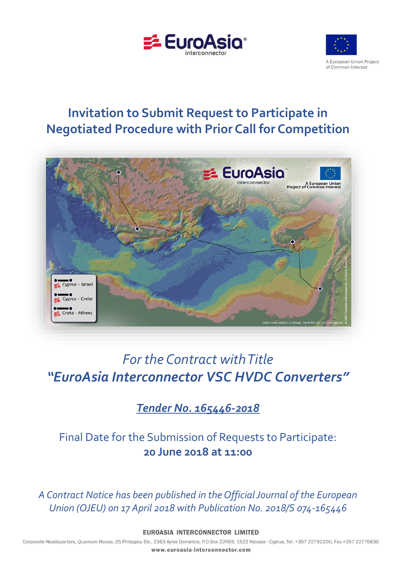



# **Invitation to Submit Request to Participate in Negotiated Procedure with Prior Call for Competition**



# *For the Contract with Title "EuroAsia Interconnector VSC HVDC Converters"*

# *Tender No. 165446-2018*

Final Date for the Submission of Requests to Participate: **20 June 2018 at 11:00**

*A Contract Notice has been published in the Official Journal of the European Union (OJEU) on 17 April 2018 with Publication No. 2018/S 074-165446*

**EUROASIA INTERCONNECTOR LIMITED** 

Corporate Headquarters, Quantum House, 25 Philippou Str., 2363 Ayios Dometios, P.O.Box 22493, 1522 Nicosia - Cyprus, Tel. +357 22792200, Fax +357 22776830 www.euroasia-interconnector.com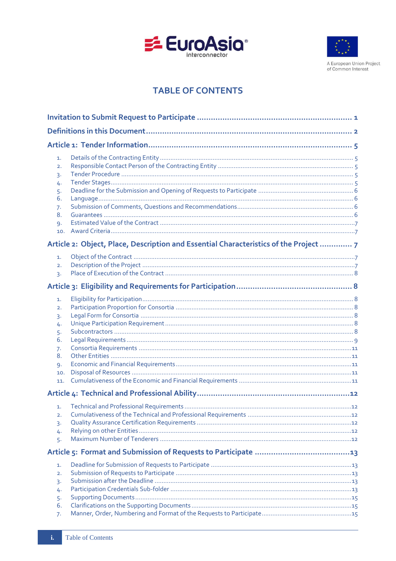



A European Union Project of Common Interest

# **TABLE OF CONTENTS**

| 1.<br>2.<br>3.<br>4.<br>5.<br>6.<br>7.<br>8.<br>9.<br>10.<br>Article 2: Object, Place, Description and Essential Characteristics of the Project  7 |  |
|----------------------------------------------------------------------------------------------------------------------------------------------------|--|
|                                                                                                                                                    |  |
|                                                                                                                                                    |  |
|                                                                                                                                                    |  |
|                                                                                                                                                    |  |
| 1.<br>$\overline{2}$ .<br>3.                                                                                                                       |  |
| 1.<br>2.<br>3.<br>4.<br>5.<br>6.<br>7.<br>8.<br>9.<br>10.<br>11.                                                                                   |  |
|                                                                                                                                                    |  |
| 1.<br>2.<br>3.<br>4.<br>5.                                                                                                                         |  |
|                                                                                                                                                    |  |
| 1.<br>2.<br>3.<br>4.<br>5.<br>6.<br>7.                                                                                                             |  |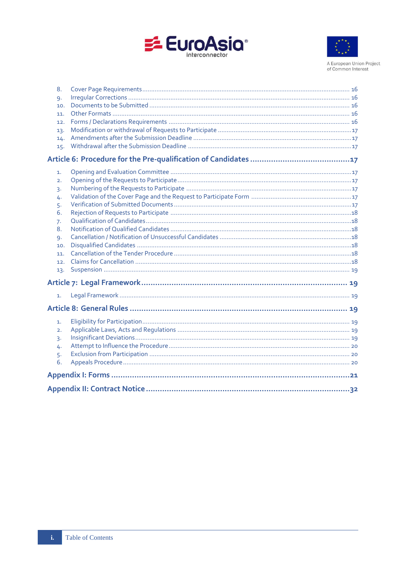



A European Union Project<br>of Common Interest

| 5.                               |
|----------------------------------|
| 3.<br>4.<br>6.<br>7.<br>8.<br>9. |
| 10.<br>11.<br>12.<br>13.         |
|                                  |
| 1.                               |
|                                  |
| 1.                               |
| 2.<br>3.<br>4.<br>5.<br>6.       |
|                                  |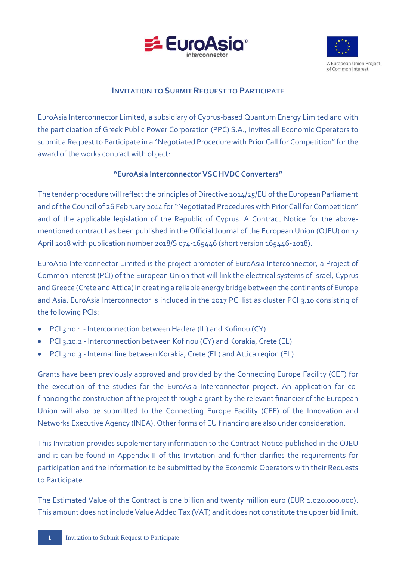



# **INVITATION TO SUBMIT REQUEST TO PARTICIPATE**

<span id="page-3-0"></span>EuroAsia Interconnector Limited, a subsidiary of Cyprus-based Quantum Energy Limited and with the participation of Greek Public Power Corporation (PPC) S.A., invites all Economic Operators to submit a Request to Participate in a "Negotiated Procedure with Prior Call for Competition" for the award of the works contract with object:

# **"EuroAsia Interconnector VSC HVDC Converters"**

The tender procedure will reflect the principles of Directive 2014/25/EU of the European Parliament and of the Council of 26 February 2014 for "Negotiated Procedures with Prior Call for Competition" and of the applicable legislation of the Republic of Cyprus. A Contract Notice for the abovementioned contract has been published in the Official Journal of the European Union (OJEU) on 17 April 2018 with publication number 2018/S 074-165446 (short version 165446-2018).

EuroAsia Interconnector Limited is the project promoter of EuroAsia Interconnector, a Project of Common Interest (PCI) of the European Union that will link the electrical systems of Israel, Cyprus and Greece (Crete and Attica) in creating a reliable energy bridge between the continents of Europe and Asia. EuroAsia Interconnector is included in the 2017 PCI list as cluster PCI 3.10 consisting of the following PCIs:

- PCI 3.10.1 Interconnection between Hadera (IL) and Kofinou (CY)
- PCI 3.10.2 Interconnection between Kofinou (CY) and Korakia, Crete (EL)
- PCI 3.10.3 Internal line between Korakia, Crete (EL) and Attica region (EL)

Grants have been previously approved and provided by the Connecting Europe Facility (CEF) for the execution of the studies for the EuroAsia Interconnector project. An application for cofinancing the construction of the project through a grant by the relevant financier of the European Union will also be submitted to the Connecting Europe Facility (CEF) of the Innovation and Networks Executive Agency (INEA). Other forms of EU financing are also under consideration.

This Invitation provides supplementary information to the Contract Notice published in the OJEU and it can be found in Appendix II of this Invitation and further clarifies the requirements for participation and the information to be submitted by the Economic Operators with their Requests to Participate.

The Estimated Value of the Contract is one billion and twenty million euro (EUR 1.020.000.000). This amount does not include Value Added Tax (VAT) and it does not constitute the upper bid limit.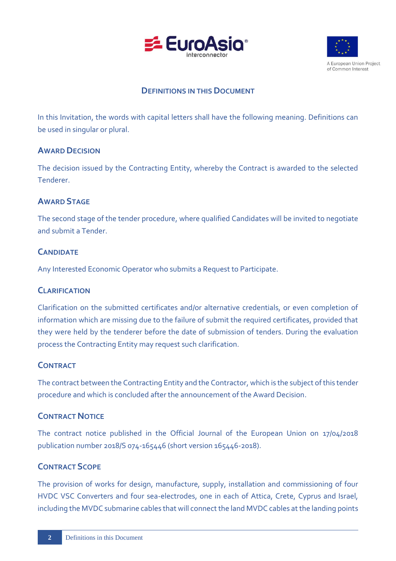



# **DEFINITIONS IN THIS DOCUMENT**

<span id="page-4-0"></span>In this Invitation, the words with capital letters shall have the following meaning. Definitions can be used in singular or plural.

# **AWARD DECISION**

The decision issued by the Contracting Entity, whereby the Contract is awarded to the selected Tenderer.

# **AWARD STAGE**

The second stage of the tender procedure, where qualified Candidates will be invited to negotiate and submit a Tender.

# **CANDIDATE**

Any Interested Economic Operator who submits a Request to Participate.

# **CLARIFICATION**

Clarification on the submitted certificates and/or alternative credentials, or even completion of information which are missing due to the failure of submit the required certificates, provided that they were held by the tenderer before the date of submission of tenders. During the evaluation process the Contracting Entity may request such clarification.

# **CONTRACT**

The contract between the Contracting Entity and the Contractor, which is the subject of this tender procedure and which is concluded after the announcement of the Award Decision.

# **CONTRACT NOTICE**

The contract notice published in the Official Journal of the European Union on 17/04/2018 publication number 2018/S 074-165446 (short version 165446-2018).

# **CONTRACT SCOPE**

The provision of works for design, manufacture, supply, installation and commissioning of four HVDC VSC Converters and four sea-electrodes, one in each of Attica, Crete, Cyprus and Israel, including the MVDC submarine cables that will connect the land MVDC cables at the landing points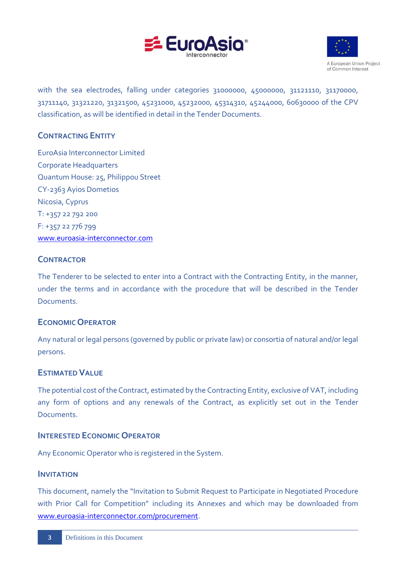



with the sea electrodes, falling under categories 31000000, 45000000, 31121110, 31170000, 31711140, 31321220, 31321500, 45231000, 45232000, 45314310, 45244000, 60630000 of the CPV classification, as will be identified in detail in the Tender Documents.

# **CONTRACTING ENTITY**

EuroAsia Interconnector Limited Corporate Headquarters Quantum House: 25, Philippou Street CY-2363 Ayios Dometios Nicosia, Cyprus T: +357 22 792 200 F: +357 22 776 799 [www.euroasia-interconnector.com](http://www.euroasia-interconnector.com/)

# **CONTRACTOR**

The Tenderer to be selected to enter into a Contract with the Contracting Entity, in the manner, under the terms and in accordance with the procedure that will be described in the Tender Documents.

# **ECONOMIC OPERATOR**

Any natural or legal persons (governed by public or private law) or consortia of natural and/or legal persons.

# **ESTIMATED VALUE**

The potential cost of the Contract, estimated by the Contracting Entity, exclusive of VAT, including any form of options and any renewals of the Contract, as explicitly set out in the Tender Documents.

# **INTERESTED ECONOMIC OPERATOR**

Any Economic Operator who is registered in the System.

# **INVITATION**

This document, namely the "Invitation to Submit Request to Participate in Negotiated Procedure with Prior Call for Competition" including its Annexes and which may be downloaded from [www.euroasia-interconnector.com/procurement.](http://www.euroasia-interconnector.com/procurement)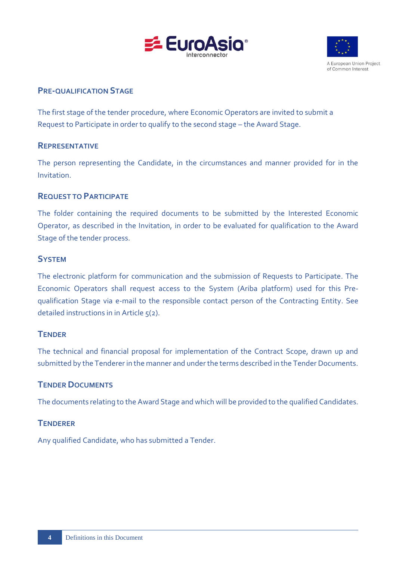



# **PRE-QUALIFICATION STAGE**

The first stage of the tender procedure, where Economic Operators are invited to submit a Request to Participate in order to qualify to the second stage – the Award Stage.

# **REPRESENTATIVE**

The person representing the Candidate, in the circumstances and manner provided for in the Invitation.

# **REQUEST TO PARTICIPATE**

The folder containing the required documents to be submitted by the Interested Economic Operator, as described in the Invitation, in order to be evaluated for qualification to the Award Stage of the tender process.

# **SYSTEM**

The electronic platform for communication and the submission of Requests to Participate. The Economic Operators shall request access to the System (Ariba platform) used for this Prequalification Stage via e-mail to the responsible contact person of the Contracting Entity. See detailed instructions in in Article 5(2).

# **TENDER**

The technical and financial proposal for implementation of the Contract Scope, drawn up and submitted by the Tenderer in the manner and under the terms described in the Tender Documents.

# **TENDERDOCUMENTS**

The documents relating to the Award Stage and which will be provided to the qualified Candidates.

# **TENDERER**

Any qualified Candidate, who has submitted a Tender.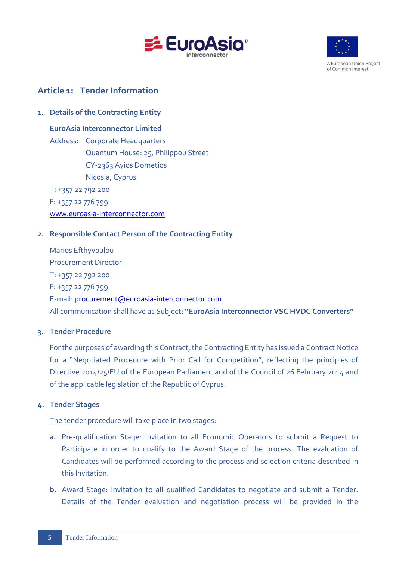



A European Union Project of Common Interest

# <span id="page-7-0"></span>**Article 1: Tender Information**

# <span id="page-7-1"></span>**1. Details of the Contracting Entity**

**EuroAsia Interconnector Limited**

Address: Corporate Headquarters Quantum House: 25, Philippou Street CY-2363 Ayios Dometios Nicosia, Cyprus

T: +357 22 792 200 F: +357 22 776 799 [www.euroasia-interconnector.com](http://www.euroasia-interconnector.com/)

# <span id="page-7-2"></span>**2. Responsible Contact Person of the Contracting Entity**

Marios Efthyvoulou Procurement Director T: +357 22 792 200 F: +357 22 776 799 E-mail: [procurement@euroasia-interconnector.com](mailto:procurement@euroasia-interconnector.com) All communication shall have as Subject: **"EuroAsia Interconnector VSC HVDC Converters"**

# <span id="page-7-3"></span>**3. Tender Procedure**

For the purposes of awarding this Contract, the Contracting Entity has issued a Contract Notice for a "Negotiated Procedure with Prior Call for Competition", reflecting the principles of Directive 2014/25/EU of the European Parliament and of the Council of 26 February 2014 and of the applicable legislation of the Republic of Cyprus.

# <span id="page-7-4"></span>**4. Tender Stages**

The tender procedure will take place in two stages:

- **a.** Pre-qualification Stage: Invitation to all Economic Operators to submit a Request to Participate in order to qualify to the Award Stage of the process. The evaluation of Candidates will be performed according to the process and selection criteria described in this Invitation.
- **b.** Award Stage: Invitation to all qualified Candidates to negotiate and submit a Tender. Details of the Tender evaluation and negotiation process will be provided in the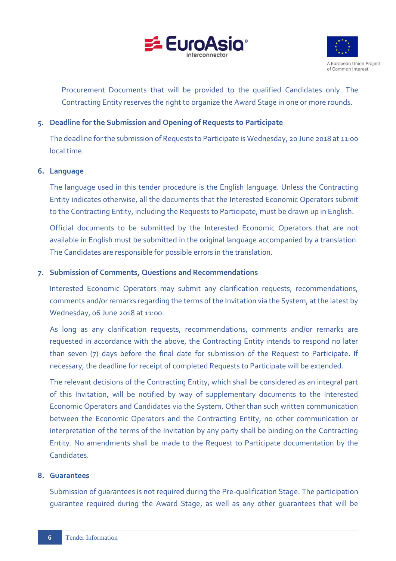



Procurement Documents that will be provided to the qualified Candidates only. The Contracting Entity reserves the right to organize the Award Stage in one or more rounds.

# <span id="page-8-0"></span>**5. Deadline for the Submission and Opening of Requests to Participate**

The deadline for the submission of Requests to Participate is Wednesday, 20 June 2018 at 11:00 local time.

# <span id="page-8-1"></span>**6. Language**

The language used in this tender procedure is the English language. Unless the Contracting Entity indicates otherwise, all the documents that the Interested Economic Operators submit to the Contracting Entity, including the Requests to Participate, must be drawn up in English.

Official documents to be submitted by the Interested Economic Operators that are not available in English must be submitted in the original language accompanied by a translation. The Candidates are responsible for possible errors in the translation.

#### <span id="page-8-2"></span>**7. Submission of Comments, Questions and Recommendations**

Interested Economic Operators may submit any clarification requests, recommendations, comments and/or remarks regarding the terms of the Invitation via the System, at the latest by Wednesday, 06 June 2018 at 11:00.

As long as any clarification requests, recommendations, comments and/or remarks are requested in accordance with the above, the Contracting Entity intends to respond no later than seven (7) days before the final date for submission of the Request to Participate. If necessary, the deadline for receipt of completed Requests to Participate will be extended.

The relevant decisions of the Contracting Entity, which shall be considered as an integral part of this Invitation, will be notified by way of supplementary documents to the Interested Economic Operators and Candidates via the System. Other than such written communication between the Economic Operators and the Contracting Entity, no other communication or interpretation of the terms of the Invitation by any party shall be binding on the Contracting Entity. No amendments shall be made to the Request to Participate documentation by the Candidates.

#### <span id="page-8-3"></span>**8. Guarantees**

Submission of guarantees is not required during the Pre-qualification Stage. The participation guarantee required during the Award Stage, as well as any other guarantees that will be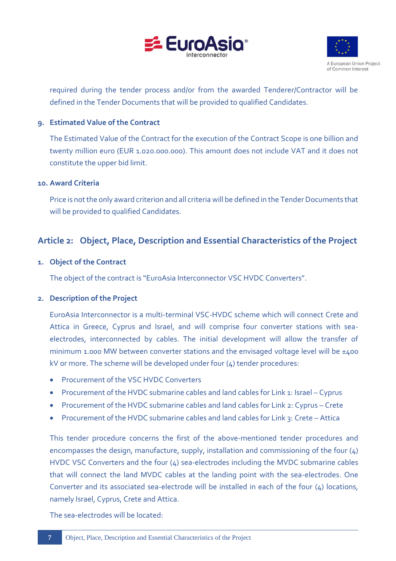



required during the tender process and/or from the awarded Tenderer/Contractor will be defined in the Tender Documents that will be provided to qualified Candidates.

# <span id="page-9-0"></span>**9. Estimated Value of the Contract**

The Estimated Value of the Contract for the execution of the Contract Scope is one billion and twenty million euro (EUR 1.020.000.000). This amount does not include VAT and it does not constitute the upper bid limit.

#### <span id="page-9-1"></span>**10. Award Criteria**

Price is not the only award criterion and all criteria will be defined in the Tender Documents that will be provided to qualified Candidates.

# <span id="page-9-2"></span>**Article 2: Object, Place, Description and Essential Characteristics of the Project**

#### <span id="page-9-3"></span>**1. Object of the Contract**

The object of the contract is "EuroAsia Interconnector VSC HVDC Converters".

#### <span id="page-9-4"></span>**2. Description of the Project**

EuroAsia Interconnector is a multi-terminal VSC-HVDC scheme which will connect Crete and Attica in Greece, Cyprus and Israel, and will comprise four converter stations with seaelectrodes, interconnected by cables. The initial development will allow the transfer of minimum 1.000 MW between converter stations and the envisaged voltage level will be  $\pm$ 400 kV or more. The scheme will be developed under four (4) tender procedures:

- Procurement of the VSC HVDC Converters
- Procurement of the HVDC submarine cables and land cables for Link 1: Israel Cyprus
- Procurement of the HVDC submarine cables and land cables for Link 2: Cyprus Crete
- Procurement of the HVDC submarine cables and land cables for Link 3: Crete Attica

This tender procedure concerns the first of the above-mentioned tender procedures and encompasses the design, manufacture, supply, installation and commissioning of the four (4) HVDC VSC Converters and the four (4) sea-electrodes including the MVDC submarine cables that will connect the land MVDC cables at the landing point with the sea-electrodes. One Converter and its associated sea-electrode will be installed in each of the four (4) locations, namely Israel, Cyprus, Crete and Attica.

The sea-electrodes will be located: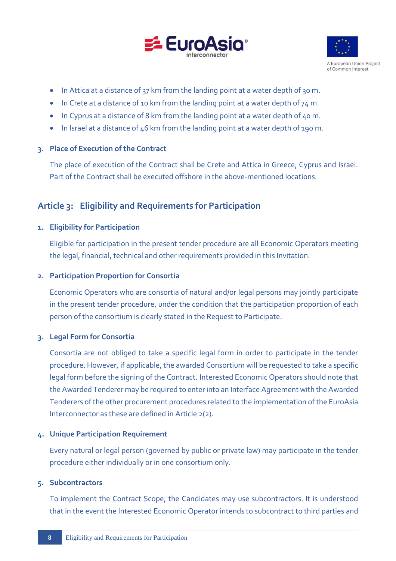



- In Attica at a distance of 37 km from the landing point at a water depth of 30 m.
- In Crete at a distance of 10 km from the landing point at a water depth of  $74$  m.
- In Cyprus at a distance of 8 km from the landing point at a water depth of 40 m.
- In Israel at a distance of 46 km from the landing point at a water depth of 190 m.

#### <span id="page-10-0"></span>**3. Place of Execution of the Contract**

The place of execution of the Contract shall be Crete and Attica in Greece, Cyprus and Israel. Part of the Contract shall be executed offshore in the above-mentioned locations.

# <span id="page-10-1"></span>**Article 3: Eligibility and Requirements for Participation**

#### <span id="page-10-2"></span>**1. Eligibility for Participation**

Eligible for participation in the present tender procedure are all Economic Operators meeting the legal, financial, technical and other requirements provided in this Invitation.

#### <span id="page-10-3"></span>**2. Participation Proportion for Consortia**

Economic Operators who are consortia of natural and/or legal persons may jointly participate in the present tender procedure, under the condition that the participation proportion of each person of the consortium is clearly stated in the Request to Participate.

#### <span id="page-10-4"></span>**3. Legal Form for Consortia**

Consortia are not obliged to take a specific legal form in order to participate in the tender procedure. However, if applicable, the awarded Consortium will be requested to take a specific legal form before the signing of the Contract. Interested Economic Operators should note that the Awarded Tenderer may be required to enter into an Interface Agreement with the Awarded Tenderers of the other procurement procedures related to the implementation of the EuroAsia Interconnector as these are defined in Article 2(2).

#### <span id="page-10-5"></span>**4. Unique Participation Requirement**

Every natural or legal person (governed by public or private law) may participate in the tender procedure either individually or in one consortium only.

# <span id="page-10-6"></span>**5. Subcontractors**

To implement the Contract Scope, the Candidates may use subcontractors. It is understood that in the event the Interested Economic Operator intends to subcontract to third parties and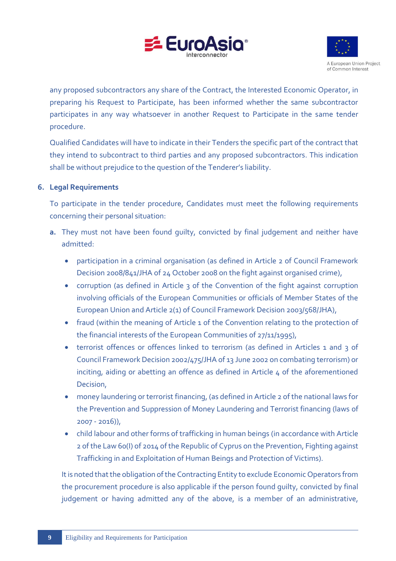



any proposed subcontractors any share of the Contract, the Interested Economic Operator, in preparing his Request to Participate, has been informed whether the same subcontractor participates in any way whatsoever in another Request to Participate in the same tender procedure.

Qualified Candidates will have to indicate in their Tenders the specific part of the contract that they intend to subcontract to third parties and any proposed subcontractors. This indication shall be without prejudice to the question of the Tenderer's liability.

# <span id="page-11-0"></span>**6. Legal Requirements**

To participate in the tender procedure, Candidates must meet the following requirements concerning their personal situation:

- **a.** They must not have been found guilty, convicted by final judgement and neither have admitted:
	- participation in a criminal organisation (as defined in Article 2 of Council Framework Decision 2008/841/JHA of 24 October 2008 on the fight against organised crime),
	- corruption (as defined in Article 3 of the Convention of the fight against corruption involving officials of the European Communities or officials of Member States of the European Union and Article 2(1) of Council Framework Decision 2003/568/JHA),
	- fraud (within the meaning of Article 1 of the Convention relating to the protection of the financial interests of the European Communities of 27/11/1995),
	- terrorist offences or offences linked to terrorism (as defined in Articles 1 and 3 of Council Framework Decision 2002/475/JHA of 13 June 2002 on combating terrorism) or inciting, aiding or abetting an offence as defined in Article 4 of the aforementioned Decision,
	- money laundering or terrorist financing, (as defined in Article 2 of the national laws for the Prevention and Suppression of Money Laundering and Terrorist financing (laws of 2007 - 2016)),
	- child labour and other forms of trafficking in human beings (in accordance with Article 2 of the Law 60(I) of 2014 of the Republic of Cyprus on the Prevention, Fighting against Trafficking in and Exploitation of Human Beings and Protection of Victims).

It is noted that the obligation of the Contracting Entity to exclude Economic Operators from the procurement procedure is also applicable if the person found guilty, convicted by final judgement or having admitted any of the above, is a member of an administrative,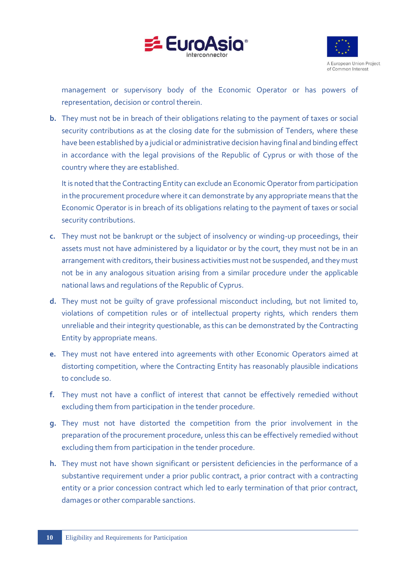



management or supervisory body of the Economic Operator or has powers of representation, decision or control therein.

**b.** They must not be in breach of their obligations relating to the payment of taxes or social security contributions as at the closing date for the submission of Tenders, where these have been established by a judicial or administrative decision having final and binding effect in accordance with the legal provisions of the Republic of Cyprus or with those of the country where they are established.

It is noted that the Contracting Entity can exclude an Economic Operator from participation in the procurement procedure where it can demonstrate by any appropriate means that the Economic Operator is in breach of its obligations relating to the payment of taxes or social security contributions.

- **c.** They must not be bankrupt or the subject of insolvency or winding-up proceedings, their assets must not have administered by a liquidator or by the court, they must not be in an arrangement with creditors, their business activities must not be suspended, and they must not be in any analogous situation arising from a similar procedure under the applicable national laws and regulations of the Republic of Cyprus.
- **d.** They must not be guilty of grave professional misconduct including, but not limited to, violations of competition rules or of intellectual property rights, which renders them unreliable and their integrity questionable, as this can be demonstrated by the Contracting Entity by appropriate means.
- **e.** They must not have entered into agreements with other Economic Operators aimed at distorting competition, where the Contracting Entity has reasonably plausible indications to conclude so.
- **f.** They must not have a conflict of interest that cannot be effectively remedied without excluding them from participation in the tender procedure.
- **g.** They must not have distorted the competition from the prior involvement in the preparation of the procurement procedure, unless this can be effectively remedied without excluding them from participation in the tender procedure.
- **h.** They must not have shown significant or persistent deficiencies in the performance of a substantive requirement under a prior public contract, a prior contract with a contracting entity or a prior concession contract which led to early termination of that prior contract, damages or other comparable sanctions.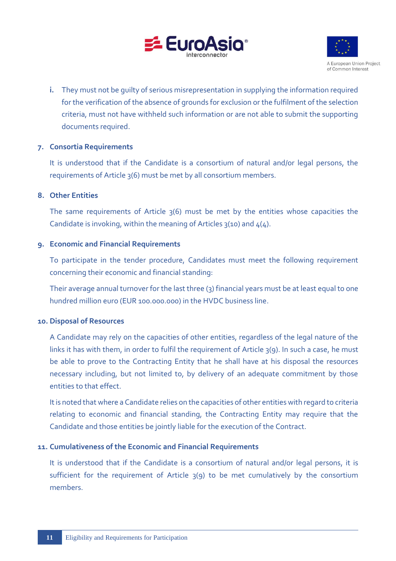



**i.** They must not be guilty of serious misrepresentation in supplying the information required for the verification of the absence of grounds for exclusion or the fulfilment of the selection criteria, must not have withheld such information or are not able to submit the supporting documents required.

#### <span id="page-13-0"></span>**7. Consortia Requirements**

It is understood that if the Candidate is a consortium of natural and/or legal persons, the requirements of Article 3(6) must be met by all consortium members.

#### <span id="page-13-1"></span>**8. Other Entities**

The same requirements of Article 3(6) must be met by the entities whose capacities the Candidate is invoking, within the meaning of Articles  $3(10)$  and  $4(4)$ .

#### <span id="page-13-2"></span>**9. Economic and Financial Requirements**

To participate in the tender procedure, Candidates must meet the following requirement concerning their economic and financial standing:

Their average annual turnover for the last three (3) financial years must be at least equal to one hundred million euro (EUR 100.000.000) in the HVDC business line.

#### <span id="page-13-3"></span>**10. Disposal of Resources**

A Candidate may rely on the capacities of other entities, regardless of the legal nature of the links it has with them, in order to fulfil the requirement of Article 3(9). In such a case, he must be able to prove to the Contracting Entity that he shall have at his disposal the resources necessary including, but not limited to, by delivery of an adequate commitment by those entities to that effect.

It is noted that where a Candidate relies on the capacities of other entities with regard to criteria relating to economic and financial standing, the Contracting Entity may require that the Candidate and those entities be jointly liable for the execution of the Contract.

#### <span id="page-13-4"></span>**11. Cumulativeness of the Economic and Financial Requirements**

It is understood that if the Candidate is a consortium of natural and/or legal persons, it is sufficient for the requirement of Article 3(9) to be met cumulatively by the consortium members.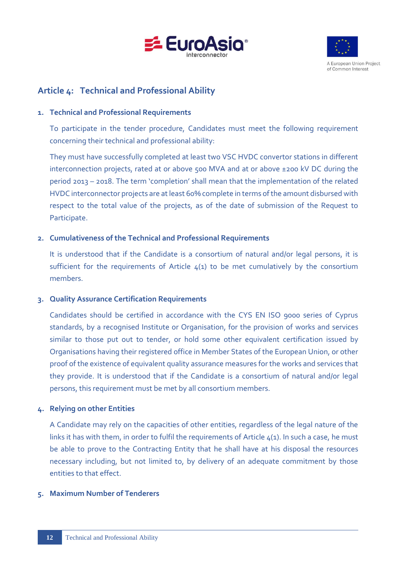



# <span id="page-14-0"></span>**Article 4: Technical and Professional Ability**

### <span id="page-14-1"></span>**1. Technical and Professional Requirements**

To participate in the tender procedure, Candidates must meet the following requirement concerning their technical and professional ability:

They must have successfully completed at least two VSC HVDC convertor stations in different interconnection projects, rated at or above 500 MVA and at or above ±200 kV DC during the period 2013 – 2018. The term 'completion' shall mean that the implementation of the related HVDC interconnector projects are at least 60% complete in terms of the amount disbursed with respect to the total value of the projects, as of the date of submission of the Request to Participate.

# <span id="page-14-2"></span>**2. Cumulativeness of the Technical and Professional Requirements**

It is understood that if the Candidate is a consortium of natural and/or legal persons, it is sufficient for the requirements of Article  $4(1)$  to be met cumulatively by the consortium members.

# <span id="page-14-3"></span>**3. Quality Assurance Certification Requirements**

Candidates should be certified in accordance with the CYS EN ISO 9000 series of Cyprus standards, by a recognised Institute or Organisation, for the provision of works and services similar to those put out to tender, or hold some other equivalent certification issued by Organisations having their registered office in Member States of the European Union, or other proof of the existence of equivalent quality assurance measures for the works and services that they provide. It is understood that if the Candidate is a consortium of natural and/or legal persons, this requirement must be met by all consortium members.

# <span id="page-14-4"></span>**4. Relying on other Entities**

A Candidate may rely on the capacities of other entities, regardless of the legal nature of the links it has with them, in order to fulfil the requirements of Article 4(1). In such a case, he must be able to prove to the Contracting Entity that he shall have at his disposal the resources necessary including, but not limited to, by delivery of an adequate commitment by those entities to that effect.

#### <span id="page-14-5"></span>**5. Maximum Number of Tenderers**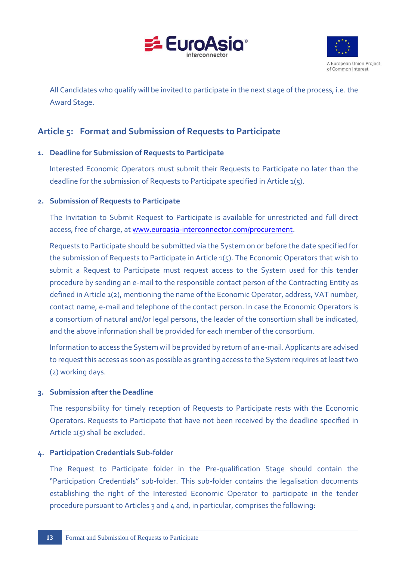



All Candidates who qualify will be invited to participate in the next stage of the process, i.e. the Award Stage.

# <span id="page-15-0"></span>**Article 5: Format and Submission of Requests to Participate**

# <span id="page-15-1"></span>**1. Deadline for Submission of Requests to Participate**

Interested Economic Operators must submit their Requests to Participate no later than the deadline for the submission of Requests to Participate specified in Article  $1(5)$ .

# <span id="page-15-2"></span>**2. Submission of Requests to Participate**

The Invitation to Submit Request to Participate is available for unrestricted and full direct access, free of charge, at [www.euroasia-interconnector.com/procurement.](http://www.euroasia-interconnector.com/procurement)

Requests to Participate should be submitted via the System on or before the date specified for the submission of Requests to Participate in Article 1(5). The Economic Operators that wish to submit a Request to Participate must request access to the System used for this tender procedure by sending an e-mail to the responsible contact person of the Contracting Entity as defined in Article 1(2), mentioning the name of the Economic Operator, address, VAT number, contact name, e-mail and telephone of the contact person. In case the Economic Operators is a consortium of natural and/or legal persons, the leader of the consortium shall be indicated, and the above information shall be provided for each member of the consortium.

Information to access the System will be provided by return of an e-mail. Applicants are advised to request this access as soon as possible as granting access to the System requires at least two (2) working days.

# <span id="page-15-3"></span>**3. Submission after the Deadline**

The responsibility for timely reception of Requests to Participate rests with the Economic Operators. Requests to Participate that have not been received by the deadline specified in Article  $1(5)$  shall be excluded.

# <span id="page-15-4"></span>**4. Participation Credentials Sub-folder**

The Request to Participate folder in the Pre-qualification Stage should contain the "Participation Credentials" sub-folder. This sub-folder contains the legalisation documents establishing the right of the Interested Economic Operator to participate in the tender procedure pursuant to Articles 3 and 4 and, in particular, comprises the following: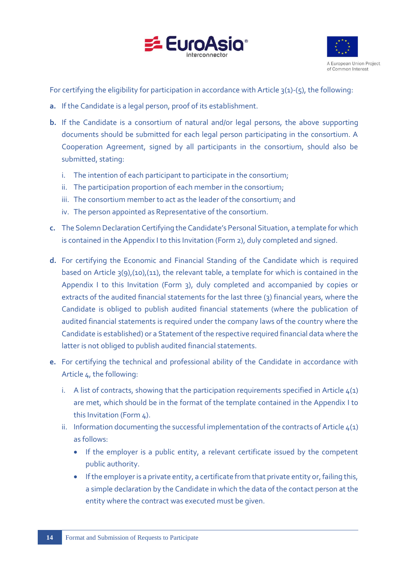



For certifying the eligibility for participation in accordance with Article 3(1)-(5), the following:

- **a.** If the Candidate is a legal person, proof of its establishment.
- **b.** If the Candidate is a consortium of natural and/or legal persons, the above supporting documents should be submitted for each legal person participating in the consortium. A Cooperation Agreement, signed by all participants in the consortium, should also be submitted, stating:
	- i. The intention of each participant to participate in the consortium;
	- ii. The participation proportion of each member in the consortium;
	- iii. The consortium member to act as the leader of the consortium; and
	- iv. The person appointed as Representative of the consortium.
- **c.** The Solemn Declaration Certifying the Candidate's Personal Situation, a template for which is contained in the Appendix I to this Invitation (Form 2), duly completed and signed.
- **d.** For certifying the Economic and Financial Standing of the Candidate which is required based on Article 3(9),(10),(11), the relevant table, a template for which is contained in the Appendix I to this Invitation (Form 3), duly completed and accompanied by copies or extracts of the audited financial statements for the last three  $(3)$  financial years, where the Candidate is obliged to publish audited financial statements (where the publication of audited financial statements is required under the company laws of the country where the Candidate is established) or a Statement of the respective required financial data where the latter is not obliged to publish audited financial statements.
- **e.** For certifying the technical and professional ability of the Candidate in accordance with Article 4, the following:
	- i. A list of contracts, showing that the participation requirements specified in Article  $4(1)$ are met, which should be in the format of the template contained in the Appendix I to this Invitation (Form 4).
	- ii. Information documenting the successful implementation of the contracts of Article  $4(1)$ as follows:
		- If the employer is a public entity, a relevant certificate issued by the competent public authority.
		- If the employer is a private entity, a certificate from that private entity or, failing this, a simple declaration by the Candidate in which the data of the contact person at the entity where the contract was executed must be given.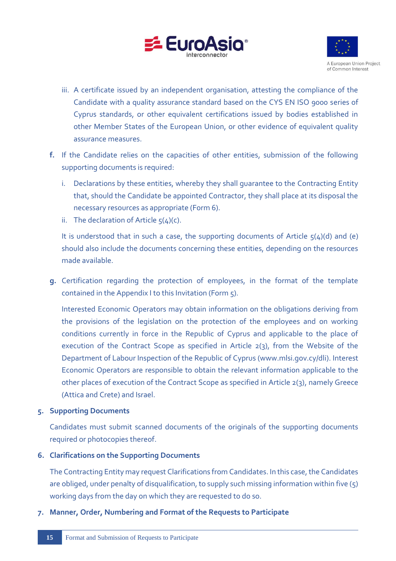



- iii. A certificate issued by an independent organisation, attesting the compliance of the Candidate with a quality assurance standard based on the CYS EN ISO 9000 series of Cyprus standards, or other equivalent certifications issued by bodies established in other Member States of the European Union, or other evidence of equivalent quality assurance measures.
- **f.** If the Candidate relies on the capacities of other entities, submission of the following supporting documents is required:
	- i. Declarations by these entities, whereby they shall guarantee to the Contracting Entity that, should the Candidate be appointed Contractor, they shall place at its disposal the necessary resources as appropriate (Form 6).
	- ii. The declaration of Article  $5(4)(c)$ .

It is understood that in such a case, the supporting documents of Article  $\zeta(4)(d)$  and (e) should also include the documents concerning these entities, depending on the resources made available.

**g.** Certification regarding the protection of employees, in the format of the template contained in the Appendix I to this Invitation (Form 5).

Interested Economic Operators may obtain information on the obligations deriving from the provisions of the legislation on the protection of the employees and on working conditions currently in force in the Republic of Cyprus and applicable to the place of execution of the Contract Scope as specified in Article 2(3), from the Website of the Department of Labour Inspection of the Republic of Cyprus [\(www.mlsi.gov.cy/dli\)](http://www.mlsi.gov.cy/dli). Interest Economic Operators are responsible to obtain the relevant information applicable to the other places of execution of the Contract Scope as specified in Article 2(3), namely Greece (Attica and Crete) and Israel.

# <span id="page-17-0"></span>**5. Supporting Documents**

Candidates must submit scanned documents of the originals of the supporting documents required or photocopies thereof.

# <span id="page-17-1"></span>**6. Clarifications on the Supporting Documents**

The Contracting Entity may request Clarifications from Candidates. In this case, the Candidates are obliged, under penalty of disqualification, to supply such missing information within five  $(5)$ working days from the day on which they are requested to do so.

# <span id="page-17-2"></span>**7. Manner, Order, Numbering and Format of the Requests to Participate**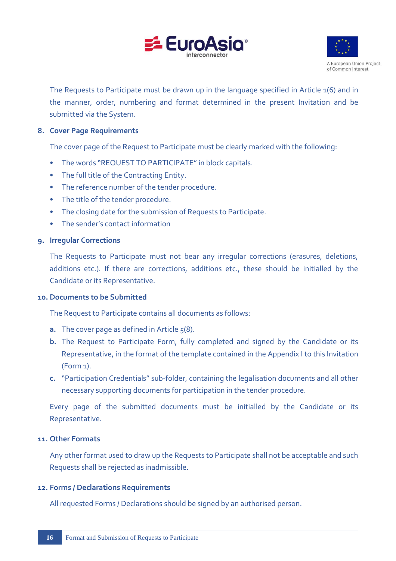



The Requests to Participate must be drawn up in the language specified in Article 1(6) and in the manner, order, numbering and format determined in the present Invitation and be submitted via the System.

#### <span id="page-18-0"></span>**8. Cover Page Requirements**

The cover page of the Request to Participate must be clearly marked with the following:

- The words "REQUEST TO PARTICIPATE" in block capitals.
- The full title of the Contracting Entity.
- The reference number of the tender procedure.
- The title of the tender procedure.
- The closing date for the submission of Requests to Participate.
- The sender's contact information

#### <span id="page-18-1"></span>**9. Irregular Corrections**

The Requests to Participate must not bear any irregular corrections (erasures, deletions, additions etc.). If there are corrections, additions etc., these should be initialled by the Candidate or its Representative.

#### <span id="page-18-2"></span>**10. Documents to be Submitted**

The Request to Participate contains all documents as follows:

- **a.** The cover page as defined in Article  $5(8)$ .
- **b.** The Request to Participate Form, fully completed and signed by the Candidate or its Representative, in the format of the template contained in the Appendix I to this Invitation (Form 1).
- **c.** "Participation Credentials" sub-folder, containing the legalisation documents and all other necessary supporting documents for participation in the tender procedure.

Every page of the submitted documents must be initialled by the Candidate or its Representative.

#### <span id="page-18-3"></span>**11. Other Formats**

Any other format used to draw up the Requests to Participate shall not be acceptable and such Requests shall be rejected as inadmissible.

#### <span id="page-18-4"></span>**12. Forms / Declarations Requirements**

All requested Forms / Declarations should be signed by an authorised person.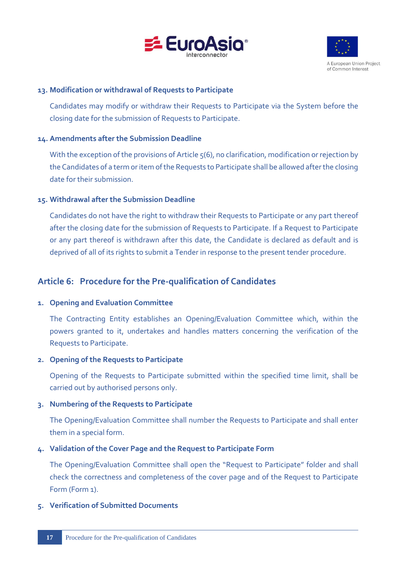



### <span id="page-19-0"></span>**13. Modification or withdrawal of Requests to Participate**

Candidates may modify or withdraw their Requests to Participate via the System before the closing date for the submission of Requests to Participate.

#### <span id="page-19-1"></span>**14. Amendments after the Submission Deadline**

With the exception of the provisions of Article  $5(6)$ , no clarification, modification or rejection by the Candidates of a term or item of the Requests to Participate shall be allowed after the closing date for their submission.

#### <span id="page-19-2"></span>**15. Withdrawal after the Submission Deadline**

Candidates do not have the right to withdraw their Requests to Participate or any part thereof after the closing date for the submission of Requests to Participate. If a Request to Participate or any part thereof is withdrawn after this date, the Candidate is declared as default and is deprived of all of its rights to submit a Tender in response to the present tender procedure.

# <span id="page-19-3"></span>**Article 6: Procedure for the Pre-qualification of Candidates**

#### <span id="page-19-4"></span>**1. Opening and Evaluation Committee**

The Contracting Entity establishes an Opening/Evaluation Committee which, within the powers granted to it, undertakes and handles matters concerning the verification of the Requests to Participate.

# <span id="page-19-5"></span>**2. Opening of the Requests to Participate**

Opening of the Requests to Participate submitted within the specified time limit, shall be carried out by authorised persons only.

# <span id="page-19-6"></span>**3. Numbering of the Requests to Participate**

The Opening/Evaluation Committee shall number the Requests to Participate and shall enter them in a special form.

#### <span id="page-19-7"></span>**4. Validation of the Cover Page and the Request to Participate Form**

The Opening/Evaluation Committee shall open the "Request to Participate" folder and shall check the correctness and completeness of the cover page and of the Request to Participate Form (Form 1).

# <span id="page-19-8"></span>**5. Verification of Submitted Documents**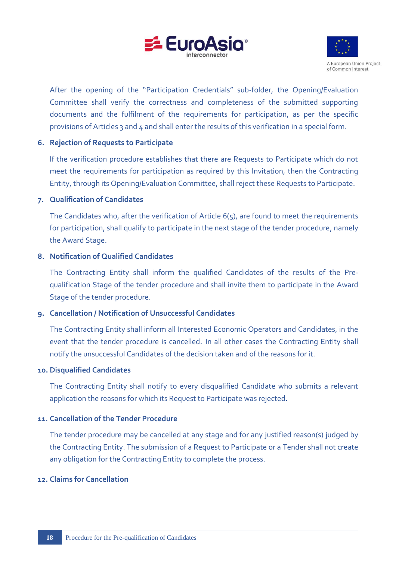



After the opening of the "Participation Credentials" sub-folder, the Opening/Evaluation Committee shall verify the correctness and completeness of the submitted supporting documents and the fulfilment of the requirements for participation, as per the specific provisions of Articles 3 and 4 and shall enter the results of this verification in a special form.

### <span id="page-20-0"></span>**6. Rejection of Requests to Participate**

If the verification procedure establishes that there are Requests to Participate which do not meet the requirements for participation as required by this Invitation, then the Contracting Entity, through its Opening/Evaluation Committee, shall reject these Requests to Participate.

#### <span id="page-20-1"></span>**7. Qualification of Candidates**

The Candidates who, after the verification of Article 6(5), are found to meet the requirements for participation, shall qualify to participate in the next stage of the tender procedure, namely the Award Stage.

#### <span id="page-20-2"></span>**8. Notification of Qualified Candidates**

The Contracting Entity shall inform the qualified Candidates of the results of the Prequalification Stage of the tender procedure and shall invite them to participate in the Award Stage of the tender procedure.

# <span id="page-20-3"></span>**9. Cancellation / Notification of Unsuccessful Candidates**

The Contracting Entity shall inform all Interested Economic Operators and Candidates, in the event that the tender procedure is cancelled. In all other cases the Contracting Entity shall notify the unsuccessful Candidates of the decision taken and of the reasons for it.

#### <span id="page-20-4"></span>**10. Disqualified Candidates**

The Contracting Entity shall notify to every disqualified Candidate who submits a relevant application the reasons for which its Request to Participate was rejected.

# <span id="page-20-5"></span>**11. Cancellation of the Tender Procedure**

The tender procedure may be cancelled at any stage and for any justified reason(s) judged by the Contracting Entity. The submission of a Request to Participate or a Tender shall not create any obligation for the Contracting Entity to complete the process.

#### <span id="page-20-6"></span>**12. Claims for Cancellation**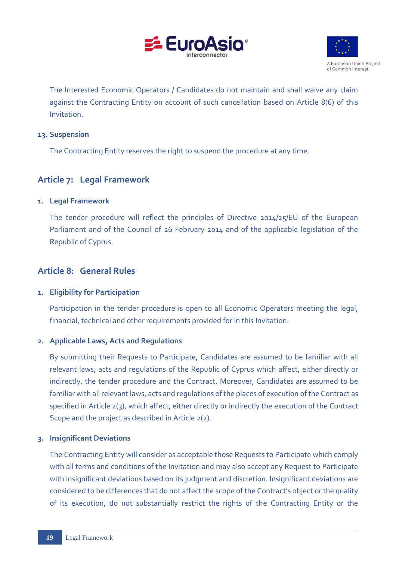



The Interested Economic Operators / Candidates do not maintain and shall waive any claim against the Contracting Entity on account of such cancellation based on Article 8(6) of this **Invitation** 

### <span id="page-21-0"></span>**13. Suspension**

The Contracting Entity reserves the right to suspend the procedure at any time.

# <span id="page-21-1"></span>**Article 7: Legal Framework**

#### <span id="page-21-2"></span>**1. Legal Framework**

The tender procedure will reflect the principles of Directive 2014/25/EU of the European Parliament and of the Council of 26 February 2014 and of the applicable legislation of the Republic of Cyprus.

# <span id="page-21-3"></span>**Article 8: General Rules**

# <span id="page-21-4"></span>**1. Eligibility for Participation**

Participation in the tender procedure is open to all Economic Operators meeting the legal, financial, technical and other requirements provided for in this Invitation.

# <span id="page-21-5"></span>**2. Applicable Laws, Acts and Regulations**

By submitting their Requests to Participate, Candidates are assumed to be familiar with all relevant laws, acts and regulations of the Republic of Cyprus which affect, either directly or indirectly, the tender procedure and the Contract. Moreover, Candidates are assumed to be familiar with all relevant laws, acts and regulations of the places of execution of the Contract as specified in Article 2(3), which affect, either directly or indirectly the execution of the Contract Scope and the project as described in Article 2(2).

# <span id="page-21-6"></span>**3. Insignificant Deviations**

The Contracting Entity will consider as acceptable those Requests to Participate which comply with all terms and conditions of the Invitation and may also accept any Request to Participate with insignificant deviations based on its judgment and discretion. Insignificant deviations are considered to be differences that do not affect the scope of the Contract's object or the quality of its execution, do not substantially restrict the rights of the Contracting Entity or the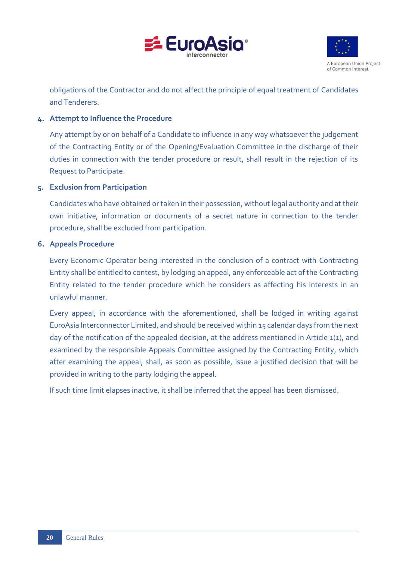



obligations of the Contractor and do not affect the principle of equal treatment of Candidates and Tenderers.

# <span id="page-22-0"></span>**4. Attempt to Influence the Procedure**

Any attempt by or on behalf of a Candidate to influence in any way whatsoever the judgement of the Contracting Entity or of the Opening/Evaluation Committee in the discharge of their duties in connection with the tender procedure or result, shall result in the rejection of its Request to Participate.

# <span id="page-22-1"></span>**5. Exclusion from Participation**

Candidates who have obtained or taken in their possession, without legal authority and at their own initiative, information or documents of a secret nature in connection to the tender procedure, shall be excluded from participation.

# <span id="page-22-2"></span>**6. Appeals Procedure**

Every Economic Operator being interested in the conclusion of a contract with Contracting Entity shall be entitled to contest, by lodging an appeal, any enforceable act of the Contracting Entity related to the tender procedure which he considers as affecting his interests in an unlawful manner.

Every appeal, in accordance with the aforementioned, shall be lodged in writing against EuroAsia Interconnector Limited, and should be received within 15 calendar days from the next day of the notification of the appealed decision, at the address mentioned in Article 1(1), and examined by the responsible Appeals Committee assigned by the Contracting Entity, which after examining the appeal, shall, as soon as possible, issue a justified decision that will be provided in writing to the party lodging the appeal.

If such time limit elapses inactive, it shall be inferred that the appeal has been dismissed.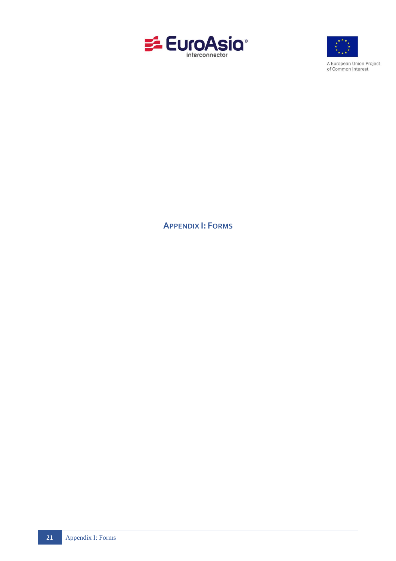



A European Union Project<br>of Common Interest

<span id="page-23-0"></span>**APPENDIX I: FORMS**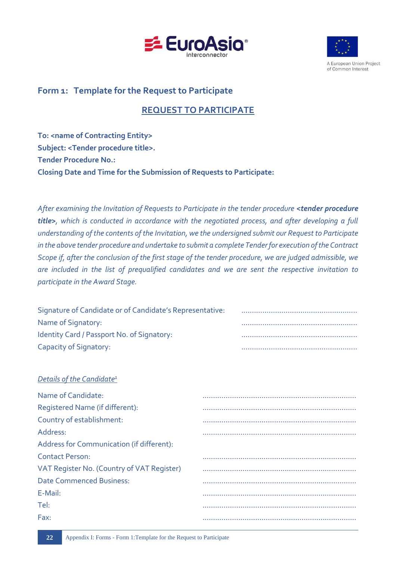



A European Union Project of Common Interest

# **Form 1: Template for the Request to Participate**

# **REQUEST TO PARTICIPATE**

**To: <name of Contracting Entity> Subject: <Tender procedure title>. Tender Procedure No.: Closing Date and Time for the Submission of Requests to Participate:**

*After examining the Invitation of Requests to Participate in the tender procedure <tender procedure title>, which is conducted in accordance with the negotiated process, and after developing a full understanding of the contents of the Invitation, we the undersigned submit our Request to Participate in the above tender procedure and undertake to submit a complete Tender for execution of the Contract Scope if, after the conclusion of the first stage of the tender procedure, we are judged admissible, we are included in the list of prequalified candidates and we are sent the respective invitation to participate in the Award Stage.*

| Signature of Candidate or of Candidate's Representative: |  |
|----------------------------------------------------------|--|
| Name of Signatory:                                       |  |
| Identity Card / Passport No. of Signatory:               |  |
| Capacity of Signatory:                                   |  |

|  | Details of the Candidate <sup>1</sup> |  |
|--|---------------------------------------|--|
|  |                                       |  |

| Name of Candidate:                         |  |
|--------------------------------------------|--|
| Registered Name (if different):            |  |
| Country of establishment:                  |  |
| Address:                                   |  |
| Address for Communication (if different):  |  |
| Contact Person:                            |  |
| VAT Register No. (Country of VAT Register) |  |
| <b>Date Commenced Business:</b>            |  |
| E-Mail:                                    |  |
| Tel:                                       |  |
| Fax:                                       |  |
|                                            |  |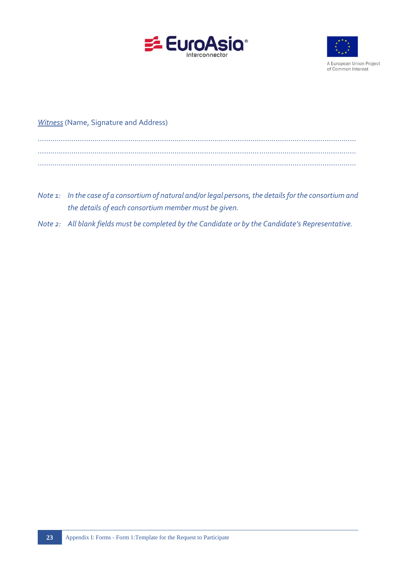



A European Union Project of Common Interest

# *Witness* (Name, Signature and Address)

- *Note 1: In the case of a consortium of natural and/or legal persons, the details for the consortium and the details of each consortium member must be given.*
- *Note 2: All blank fields must be completed by the Candidate or by the Candidate's Representative.*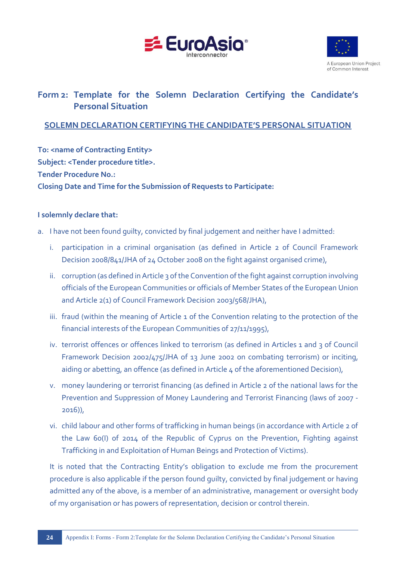



# **Form 2: Template for the Solemn Declaration Certifying the Candidate's Personal Situation**

# **SOLEMN DECLARATION CERTIFYING THE CANDIDATE'S PERSONAL SITUATION**

**To: < name of Contracting Entity> Subject: <Tender procedure title>. Tender Procedure No.: Closing Date and Time for the Submission of Requests to Participate:**

# **I solemnly declare that:**

- a. I have not been found guilty, convicted by final judgement and neither have I admitted:
	- i. participation in a criminal organisation (as defined in Article 2 of Council Framework Decision 2008/841/JHA of 24 October 2008 on the fight against organised crime),
	- ii. corruption (as defined in Article 3 of the Convention of the fight against corruption involving officials of the European Communities or officials of Member States of the European Union and Article 2(1) of Council Framework Decision 2003/568/JHA),
	- iii. fraud (within the meaning of Article 1 of the Convention relating to the protection of the financial interests of the European Communities of 27/11/1995),
	- iv. terrorist offences or offences linked to terrorism (as defined in Articles 1 and 3 of Council Framework Decision 2002/475/JHA of 13 June 2002 on combating terrorism) or inciting, aiding or abetting, an offence (as defined in Article 4 of the aforementioned Decision),
	- v. money laundering or terrorist financing (as defined in Article 2 of the national laws for the Prevention and Suppression of Money Laundering and Terrorist Financing (laws of 2007 - 2016)),
	- vi. child labour and other forms of trafficking in human beings (in accordance with Article 2 of the Law 60(I) of 2014 of the Republic of Cyprus on the Prevention, Fighting against Trafficking in and Exploitation of Human Beings and Protection of Victims).

It is noted that the Contracting Entity's obligation to exclude me from the procurement procedure is also applicable if the person found guilty, convicted by final judgement or having admitted any of the above, is a member of an administrative, management or oversight body of my organisation or has powers of representation, decision or control therein.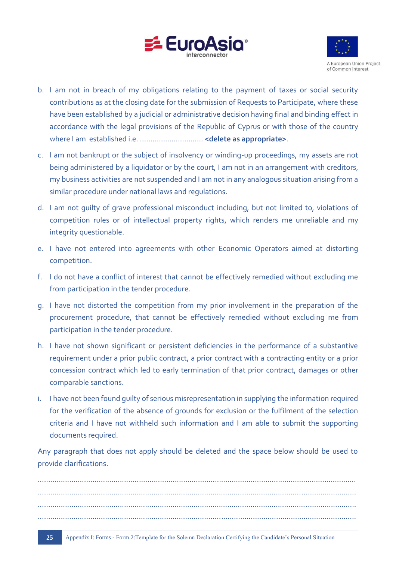



- b. I am not in breach of my obligations relating to the payment of taxes or social security contributions as at the closing date for the submission of Requests to Participate, where these have been established by a judicial or administrative decision having final and binding effect in accordance with the legal provisions of the Republic of Cyprus or with those of the country where I am established i.e. ………………………… **<delete as appropriate>**.
- c. I am not bankrupt or the subject of insolvency or winding-up proceedings, my assets are not being administered by a liquidator or by the court, I am not in an arrangement with creditors, my business activities are not suspended and I am not in any analogous situation arising from a similar procedure under national laws and regulations.
- d. I am not guilty of grave professional misconduct including, but not limited to, violations of competition rules or of intellectual property rights, which renders me unreliable and my integrity questionable.
- e. I have not entered into agreements with other Economic Operators aimed at distorting competition.
- f. I do not have a conflict of interest that cannot be effectively remedied without excluding me from participation in the tender procedure.
- g. I have not distorted the competition from my prior involvement in the preparation of the procurement procedure, that cannot be effectively remedied without excluding me from participation in the tender procedure.
- h. I have not shown significant or persistent deficiencies in the performance of a substantive requirement under a prior public contract, a prior contract with a contracting entity or a prior concession contract which led to early termination of that prior contract, damages or other comparable sanctions.
- i. I have not been found guilty of serious misrepresentation in supplying the information required for the verification of the absence of grounds for exclusion or the fulfilment of the selection criteria and I have not withheld such information and I am able to submit the supporting documents required.

Any paragraph that does not apply should be deleted and the space below should be used to provide clarifications.

....................................................................................................................................................... ....................................................................................................................................................... ....................................................................................................................................................... .......................................................................................................................................................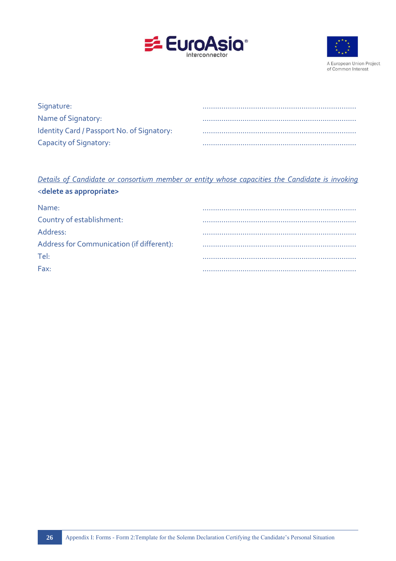



A European Union Project of Common Interest

| Signature:                                 |  |
|--------------------------------------------|--|
| Name of Signatory:                         |  |
| Identity Card / Passport No. of Signatory: |  |
| Capacity of Signatory:                     |  |

*Details of Candidate or consortium member or entity whose capacities the Candidate is invoking*  <**delete as appropriate>**

| Name:                                     |  |
|-------------------------------------------|--|
| Country of establishment:                 |  |
| Address:                                  |  |
| Address for Communication (if different): |  |
| Tel:                                      |  |
| Fax:                                      |  |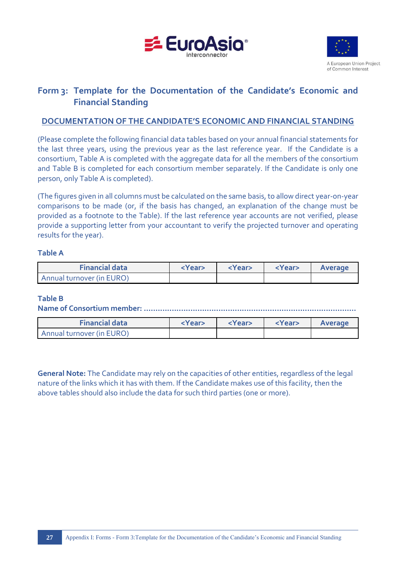



# **Form 3: Template for the Documentation of the Candidate's Economic and Financial Standing**

# **DOCUMENTATION OF THE CANDIDATE'S ECONOMIC AND FINANCIAL STANDING**

(Please complete the following financial data tables based on your annual financial statements for the last three years, using the previous year as the last reference year. If the Candidate is a consortium, Table A is completed with the aggregate data for all the members of the consortium and Table B is completed for each consortium member separately. If the Candidate is only one person, only Table A is completed).

(The figures given in all columns must be calculated on the same basis, to allow direct year-on-year comparisons to be made (or, if the basis has changed, an explanation of the change must be provided as a footnote to the Table). If the last reference year accounts are not verified, please provide a supporting letter from your accountant to verify the projected turnover and operating results for the year).

#### **Table Α**

| <b>Financial data</b>     | <year></year> | <year></year> | <year></year> | Average |
|---------------------------|---------------|---------------|---------------|---------|
| Annual turnover (in EURO) |               |               |               |         |

#### **Table B**

**Name of Consortium member: ...........................................................................................**

| <b>Financial data</b>     | <year></year> | <year></year> | <year></year> | Average |
|---------------------------|---------------|---------------|---------------|---------|
| Annual turnover (in EURO) |               |               |               |         |

**General Note:** The Candidate may rely on the capacities of other entities, regardless of the legal nature of the links which it has with them. If the Candidate makes use of this facility, then the above tables should also include the data for such third parties (one or more).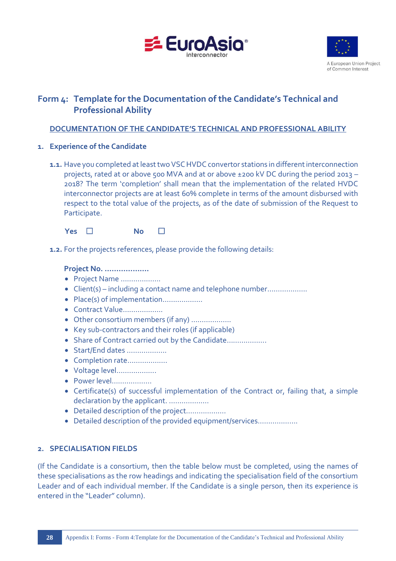



# **Form 4: Template for the Documentation of the Candidate's Technical and Professional Ability**

# **DOCUMENTATION OF THE CANDIDATE'S TECHNICAL AND PROFESSIONAL ABILITY**

- **1. Experience of the Candidate**
	- **1.1.** Have you completed at least two VSC HVDC convertor stations in different interconnection projects, rated at or above 500 MVA and at or above ±200 kV DC during the period 2013 – 2018? The term 'completion' shall mean that the implementation of the related HVDC interconnector projects are at least 60% complete in terms of the amount disbursed with respect to the total value of the projects, as of the date of submission of the Request to Participate.



**1.2.** For the projects references, please provide the following details:

#### **Project No. ……………….**

- Project Name ……………….
- Client(s) including a contact name and telephone number……………….
- Place(s) of implementation……………….
- Contract Value……………….
- Other consortium members (if any) ……………….
- Key sub-contractors and their roles (if applicable)
- Share of Contract carried out by the Candidate..................
- Start/End dates ……………….
- Completion rate……………….
- Voltage level……………….
- Power level……………….
- Certificate(s) of successful implementation of the Contract or, failing that, a simple declaration by the applicant. ..................
- Detailed description of the project……………….
- Detailed description of the provided equipment/services……………….

# **2. SPECIALISATION FIELDS**

(If the Candidate is a consortium, then the table below must be completed, using the names of these specialisations as the row headings and indicating the specialisation field of the consortium Leader and of each individual member. If the Candidate is a single person, then its experience is entered in the "Leader" column).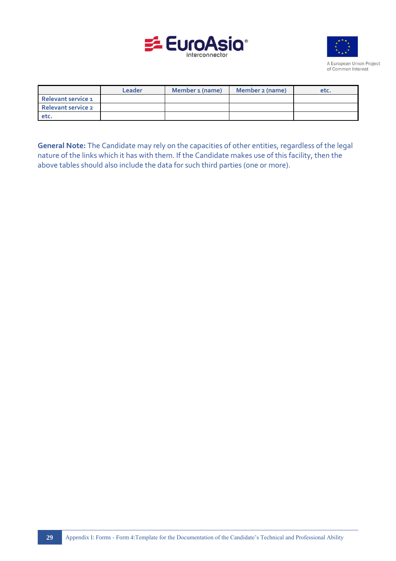



A European Union Project of Common Interest

|                           | Leader | Member 1 (name) | Member 2 (name) | etc. |
|---------------------------|--------|-----------------|-----------------|------|
| Relevant service 1        |        |                 |                 |      |
| <b>Relevant service 2</b> |        |                 |                 |      |
| etc.                      |        |                 |                 |      |

**General Note:** The Candidate may rely on the capacities of other entities, regardless of the legal nature of the links which it has with them. If the Candidate makes use of this facility, then the above tables should also include the data for such third parties (one or more).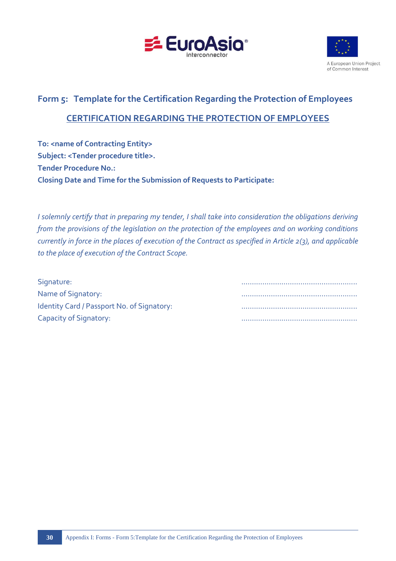



# **Form 5: Template for the Certification Regarding the Protection of Employees CERTIFICATION REGARDING THE PROTECTION OF EMPLOYEES**

**To: <name of Contracting Entity> Subject: <Tender procedure title>. Tender Procedure No.: Closing Date and Time for the Submission of Requests to Participate:**

*I solemnly certify that in preparing my tender, I shall take into consideration the obligations deriving from the provisions of the legislation on the protection of the employees and on working conditions currently in force in the places of execution of the Contract as specified in Article 2(3), and applicable to the place of execution of the Contract Scope.*

| Signature:                                 |  |
|--------------------------------------------|--|
| Name of Signatory:                         |  |
| Identity Card / Passport No. of Signatory: |  |
| Capacity of Signatory:                     |  |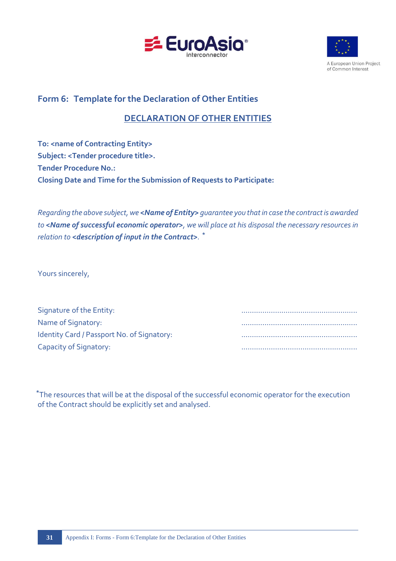



A European Union Project of Common Interest

# **Form 6: Template for the Declaration of Other Entities**

# **DECLARATION OF OTHER ENTITIES**

**To: <name of Contracting Entity> Subject: <Tender procedure title>. Tender Procedure No.: Closing Date and Time for the Submission of Requests to Participate:**

*Regarding the above subject, we <Name of Entity> guarantee you that in case the contract is awarded to <Name of successful economic operator>, we will place at his disposal the necessary resources in relation to <description of input in the Contract>. ⃰*

Yours sincerely,

| Signature of the Entity:                   |  |
|--------------------------------------------|--|
| Name of Signatory:                         |  |
| Identity Card / Passport No. of Signatory: |  |
| Capacity of Signatory:                     |  |

⃰The resources that will be at the disposal of the successful economic operator for the execution of the Contract should be explicitly set and analysed.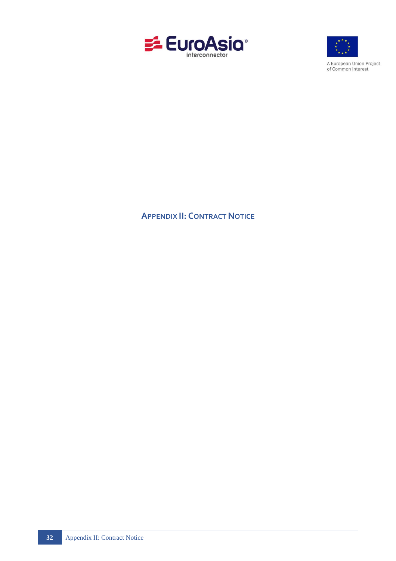



A European Union Project of Common Interest

# <span id="page-34-0"></span>**APPENDIX II: CONTRACT NOTICE**

**32** Appendix II: Contract Notice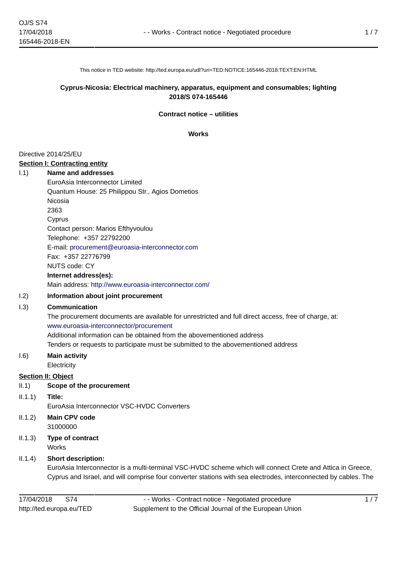This notice in TED website: http://ted.europa.eu/udl?uri=TED:NOTICE:165446-2018:TEXT:EN:HTML

#### **Cyprus-Nicosia: Electrical machinery, apparatus, equipment and consumables; lighting 2018/S 074-165446**

#### **Contract notice – utilities**

#### **Works**

#### Directive 2014/25/EU

#### **Section I: Contracting entity**

I.1) **Name and addresses** EuroAsia Interconnector Limited Quantum House: 25 Philippou Str., Agios Dometios Nicosia 2363 Cyprus Contact person: Marios Efthyvoulou Telephone: +357 22792200 E-mail: [procurement@euroasia-interconnector.com](mailto:procurement@euroasia-interconnector.com)  Fax: +357 22776799 NUTS code: CY **Internet address(es):**

Main address:<http://www.euroasia-interconnector.com/>

#### I.2) **Information about joint procurement**

#### I.3) **Communication**

The procurement documents are available for unrestricted and full direct access, free of charge, at: <www.euroasia-interconnector/procurement> Additional information can be obtained from the abovementioned address Tenders or requests to participate must be submitted to the abovementioned address

#### I.6) **Main activity**

**Electricity** 

#### **Section II: Object**

- II.1) **Scope of the procurement**
- II.1.1) **Title:**

EuroAsia Interconnector VSC-HVDC Converters

II.1.2) **Main CPV code** 31000000

II.1.3) **Type of contract Works** 

#### II.1.4) **Short description:**

EuroAsia Interconnector is a multi-terminal VSC-HVDC scheme which will connect Crete and Attica in Greece, Cyprus and Israel, and will comprise four converter stations with sea electrodes, interconnected by cables. The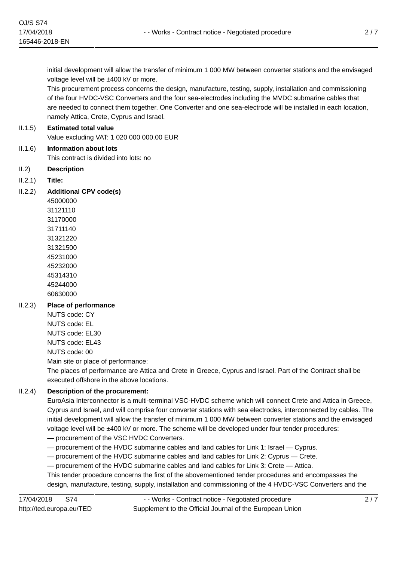initial development will allow the transfer of minimum 1 000 MW between converter stations and the envisaged voltage level will be ±400 kV or more.

This procurement process concerns the design, manufacture, testing, supply, installation and commissioning of the four HVDC-VSC Converters and the four sea-electrodes including the MVDC submarine cables that are needed to connect them together. One Converter and one sea-electrode will be installed in each location, namely Attica, Crete, Cyprus and Israel.

#### II.1.5) **Estimated total value**

Value excluding VAT: 1 020 000 000.00 EUR

- II.1.6) **Information about lots** This contract is divided into lots: no
- II.2) **Description**
- II.2.1) **Title:**
- II.2.2) **Additional CPV code(s)**

#### II.2.3) **Place of performance**

NUTS code: CY NUTS code: EL NUTS code: EL30 NUTS code: EL43 NUTS code: 00 Main site or place of performance:

The places of performance are Attica and Crete in Greece, Cyprus and Israel. Part of the Contract shall be executed offshore in the above locations.

#### II.2.4) **Description of the procurement:**

EuroAsia Interconnector is a multi-terminal VSC-HVDC scheme which will connect Crete and Attica in Greece, Cyprus and Israel, and will comprise four converter stations with sea electrodes, interconnected by cables. The initial development will allow the transfer of minimum 1 000 MW between converter stations and the envisaged voltage level will be ±400 kV or more. The scheme will be developed under four tender procedures:

- procurement of the VSC HVDC Converters.
- procurement of the HVDC submarine cables and land cables for Link 1: Israel Cyprus.
- procurement of the HVDC submarine cables and land cables for Link 2: Cyprus Crete.
- procurement of the HVDC submarine cables and land cables for Link 3: Crete Attica.

This tender procedure concerns the first of the abovementioned tender procedures and encompasses the design, manufacture, testing, supply, installation and commissioning of the 4 HVDC-VSC Converters and the

2 / 7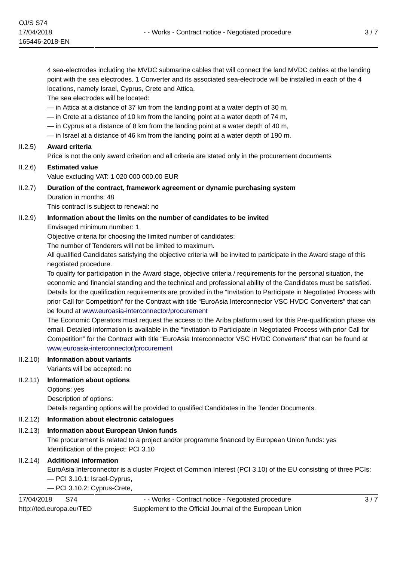The sea electrodes will be located:

— in Attica at a distance of 37 km from the landing point at a water depth of 30 m,

— in Crete at a distance of 10 km from the landing point at a water depth of 74 m,

— in Cyprus at a distance of 8 km from the landing point at a water depth of 40 m,

— in Israel at a distance of 46 km from the landing point at a water depth of 190 m.

#### II.2.5) **Award criteria**

Price is not the only award criterion and all criteria are stated only in the procurement documents

#### II.2.6) **Estimated value**

Value excluding VAT: 1 020 000 000.00 EUR

# II.2.7) **Duration of the contract, framework agreement or dynamic purchasing system** Duration in months: 48

This contract is subject to renewal: no

#### II.2.9) **Information about the limits on the number of candidates to be invited**

Envisaged minimum number: 1

Objective criteria for choosing the limited number of candidates:

The number of Tenderers will not be limited to maximum.

All qualified Candidates satisfying the objective criteria will be invited to participate in the Award stage of this negotiated procedure.

To qualify for participation in the Award stage, objective criteria / requirements for the personal situation, the economic and financial standing and the technical and professional ability of the Candidates must be satisfied. Details for the qualification requirements are provided in the "Invitation to Participate in Negotiated Process with prior Call for Competition" for the Contract with title "EuroAsia Interconnector VSC HVDC Converters" that can be found at <www.euroasia-interconnector/procurement>

The Economic Operators must request the access to the Ariba platform used for this Pre-qualification phase via email. Detailed information is available in the "Invitation to Participate in Negotiated Process with prior Call for Competition" for the Contract with title "EuroAsia Interconnector VSC HVDC Converters" that can be found at <www.euroasia-interconnector/procurement>

#### II.2.10) **Information about variants**

Variants will be accepted: no

#### II.2.11) **Information about options**

Options: yes Description of options: Details regarding options will be provided to qualified Candidates in the Tender Documents.

#### II.2.12) **Information about electronic catalogues**

#### II.2.13) **Information about European Union funds**

The procurement is related to a project and/or programme financed by European Union funds: yes Identification of the project: PCI 3.10

#### II.2.14) **Additional information**

EuroAsia Interconnector is a cluster Project of Common Interest (PCI 3.10) of the EU consisting of three PCIs: — PCI 3.10.1: Israel-Cyprus,

— PCI 3.10.2: Cyprus-Crete,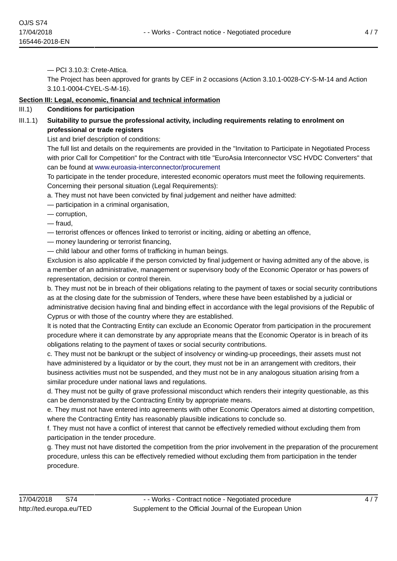— PCI 3.10.3: Crete-Attica.

The Project has been approved for grants by CEF in 2 occasions (Action 3.10.1-0028-CY-S-M-14 and Action 3.10.1-0004-CYEL-S-M-16).

#### **Section III: Legal, economic, financial and technical information**

#### III.1) **Conditions for participation**

III.1.1) **Suitability to pursue the professional activity, including requirements relating to enrolment on professional or trade registers**

List and brief description of conditions:

The full list and details on the requirements are provided in the "Invitation to Participate in Negotiated Process with prior Call for Competition" for the Contract with title "EuroAsia Interconnector VSC HVDC Converters" that can be found at <www.euroasia-interconnector/procurement>

To participate in the tender procedure, interested economic operators must meet the following requirements. Concerning their personal situation (Legal Requirements):

a. They must not have been convicted by final judgement and neither have admitted:

- participation in a criminal organisation,
- corruption,
- fraud,
- terrorist offences or offences linked to terrorist or inciting, aiding or abetting an offence,
- money laundering or terrorist financing,
- child labour and other forms of trafficking in human beings.

Exclusion is also applicable if the person convicted by final judgement or having admitted any of the above, is a member of an administrative, management or supervisory body of the Economic Operator or has powers of representation, decision or control therein.

b. They must not be in breach of their obligations relating to the payment of taxes or social security contributions as at the closing date for the submission of Tenders, where these have been established by a judicial or administrative decision having final and binding effect in accordance with the legal provisions of the Republic of Cyprus or with those of the country where they are established.

It is noted that the Contracting Entity can exclude an Economic Operator from participation in the procurement procedure where it can demonstrate by any appropriate means that the Economic Operator is in breach of its obligations relating to the payment of taxes or social security contributions.

c. They must not be bankrupt or the subject of insolvency or winding-up proceedings, their assets must not have administered by a liquidator or by the court, they must not be in an arrangement with creditors, their business activities must not be suspended, and they must not be in any analogous situation arising from a similar procedure under national laws and regulations.

d. They must not be guilty of grave professional misconduct which renders their integrity questionable, as this can be demonstrated by the Contracting Entity by appropriate means.

e. They must not have entered into agreements with other Economic Operators aimed at distorting competition, where the Contracting Entity has reasonably plausible indications to conclude so.

f. They must not have a conflict of interest that cannot be effectively remedied without excluding them from participation in the tender procedure.

g. They must not have distorted the competition from the prior involvement in the preparation of the procurement procedure, unless this can be effectively remedied without excluding them from participation in the tender procedure.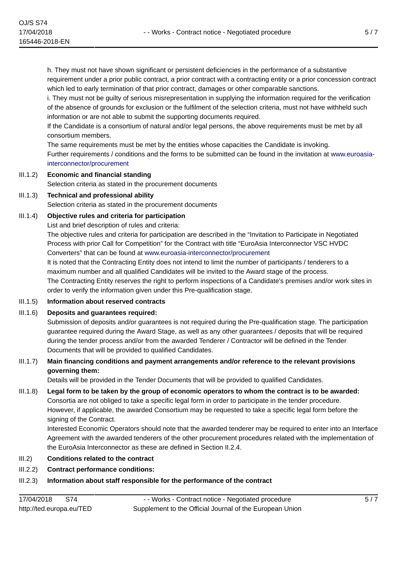h. They must not have shown significant or persistent deficiencies in the performance of a substantive requirement under a prior public contract, a prior contract with a contracting entity or a prior concession contract which led to early termination of that prior contract, damages or other comparable sanctions.

i. They must not be guilty of serious misrepresentation in supplying the information required for the verification of the absence of grounds for exclusion or the fulfilment of the selection criteria, must not have withheld such information or are not able to submit the supporting documents required.

If the Candidate is a consortium of natural and/or legal persons, the above requirements must be met by all consortium members.

The same requirements must be met by the entities whose capacities the Candidate is invoking. Further requirements / conditions and the forms to be submitted can be found in the invitation at [www.euroasia](www.euroasia-interconnector/procurement)[interconnector/procurement](www.euroasia-interconnector/procurement)

- III.1.2) **Economic and financial standing** Selection criteria as stated in the procurement documents
- III.1.3) **Technical and professional ability** Selection criteria as stated in the procurement documents

#### III.1.4) **Objective rules and criteria for participation**

List and brief description of rules and criteria:

The objective rules and criteria for participation are described in the "Invitation to Participate in Negotiated Process with prior Call for Competition" for the Contract with title "EuroAsia Interconnector VSC HVDC Converters" that can be found at <www.euroasia-interconnector/procurement>

It is noted that the Contracting Entity does not intend to limit the number of participants / tenderers to a maximum number and all qualified Candidates will be invited to the Award stage of the process. The Contracting Entity reserves the right to perform inspections of a Candidate's premises and/or work sites in order to verify the information given under this Pre-qualification stage.

III.1.5) **Information about reserved contracts**

#### III.1.6) **Deposits and guarantees required:**

Submission of deposits and/or guarantees is not required during the Pre-qualification stage. The participation guarantee required during the Award Stage, as well as any other guarantees / deposits that will be required during the tender process and/or from the awarded Tenderer / Contractor will be defined in the Tender Documents that will be provided to qualified Candidates.

III.1.7) **Main financing conditions and payment arrangements and/or reference to the relevant provisions governing them:**

Details will be provided in the Tender Documents that will be provided to qualified Candidates.

III.1.8) **Legal form to be taken by the group of economic operators to whom the contract is to be awarded:** Consortia are not obliged to take a specific legal form in order to participate in the tender procedure. However, if applicable, the awarded Consortium may be requested to take a specific legal form before the signing of the Contract.

Interested Economic Operators should note that the awarded tenderer may be required to enter into an Interface Agreement with the awarded tenderers of the other procurement procedures related with the implementation of the EuroAsia Interconnector as these are defined in Section II.2.4.

#### III.2) **Conditions related to the contract**

III.2.2) **Contract performance conditions:**

# III.2.3) **Information about staff responsible for the performance of the contract**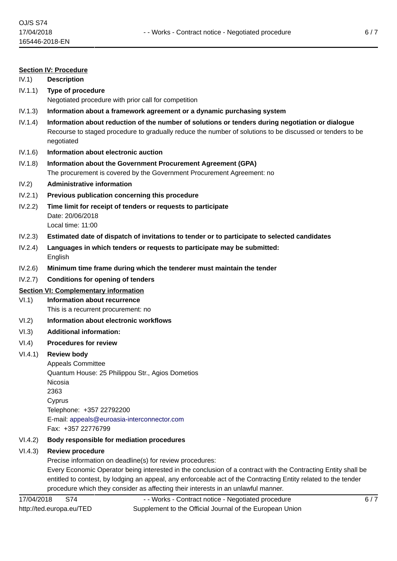#### **Section IV: Procedure**

IV.1) **Description**

- IV.1.1) **Type of procedure** Negotiated procedure with prior call for competition
- IV.1.3) **Information about a framework agreement or a dynamic purchasing system**
- IV.1.4) **Information about reduction of the number of solutions or tenders during negotiation or dialogue** Recourse to staged procedure to gradually reduce the number of solutions to be discussed or tenders to be negotiated
- IV.1.6) **Information about electronic auction**
- IV.1.8) **Information about the Government Procurement Agreement (GPA)** The procurement is covered by the Government Procurement Agreement: no
- IV.2) **Administrative information**
- IV.2.1) **Previous publication concerning this procedure**
- IV.2.2) **Time limit for receipt of tenders or requests to participate** Date: 20/06/2018 Local time: 11:00
- IV.2.3) **Estimated date of dispatch of invitations to tender or to participate to selected candidates**
- IV.2.4) **Languages in which tenders or requests to participate may be submitted:** English
- IV.2.6) **Minimum time frame during which the tenderer must maintain the tender**
- IV.2.7) **Conditions for opening of tenders**

#### **Section VI: Complementary information**

VI.1) **Information about recurrence**

This is a recurrent procurement: no

- VI.2) **Information about electronic workflows**
- VI.3) **Additional information:**
- VI.4) **Procedures for review**

#### VI.4.1) **Review body**

Appeals Committee Quantum House: 25 Philippou Str., Agios Dometios Nicosia 2363 Cyprus Telephone: +357 22792200 E-mail: [appeals@euroasia-interconnector.com](mailto:appeals@euroasia-interconnector.com)  Fax: +357 22776799

#### VI.4.2) **Body responsible for mediation procedures**

#### VI.4.3) **Review procedure**

Precise information on deadline(s) for review procedures:

Every Economic Operator being interested in the conclusion of a contract with the Contracting Entity shall be entitled to contest, by lodging an appeal, any enforceable act of the Contracting Entity related to the tender procedure which they consider as affecting their interests in an unlawful manner.

17/04/2018 S74 http://ted.europa.eu/TED